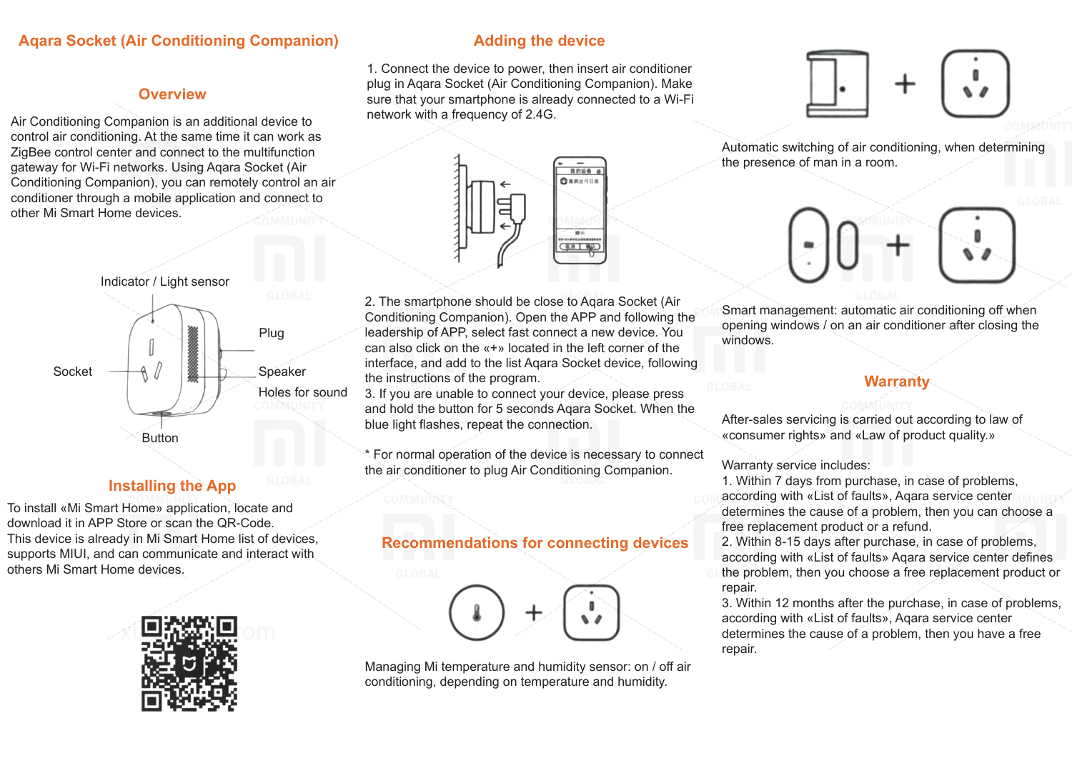#### **Aqara Socket (Air Conditioning Companion)**

#### **Overview**

Air Conditioning Companion is an additional device to control air conditioning. At the same time it can work as ZigBee control center and connect to the multifunction gateway for Wi-Fi networks. Using Aqara Socket (Air Conditioning Companion), you can remotely control an air conditioner through a mobile application and connect to other Mi Smart Home devices.



## **Installing the App**

To install «Mi Smart Home» application, locate and download it in APP Store or scan the QR-Code. This device is already in Mi Smart Home list of devices, supports MIUI, and can communicate and interact with others Mi Smart Home devices.



#### **Adding the device**

1. Connect the device to power, then insert air conditioner plug in Aqara Socket (Air Conditioning Companion). Make sure that your smartphone is already connected to a Wi-Fi network with a frequency of 2.4G.



2. The smartphone should be close to Aqara Socket (Air Conditioning Companion). Open the APP and following the leadership of APP, select fast connect a new device. You can also click on the «+» located in the left corner of the interface, and add to the list Aqara Socket device, following the instructions of the program.

3. If you are unable to connect your device, please press and hold the button for 5 seconds Aqara Socket. When the blue light flashes, repeat the connection.

\* For normal operation of the device is necessary to connect the air conditioner to plug Air Conditioning Companion.

### **Recommendations for connecting devices**

Managing Mi temperature and humidity sensor: on / off air conditioning, depending on temperature and humidity.



Automatic switching of air conditioning, when determining the presence of man in a room.



Smart management: automatic air conditioning off when opening windows / on an air conditioner after closing the windows.

#### **Warranty**

After-sales servicing is carried out according to law of «consumer rights» and «Law of product quality.»

Warranty service includes:

1. Within 7 days from purchase, in case of problems, according with «List of faults», Aqara service center determines the cause of a problem, then you can choose a free replacement product or a refund.

2. Within 8-15 days after purchase, in case of problems, according with «List of faults» Aqara service center defines the problem, then you choose a free replacement product or repair.

3. Within 12 months after the purchase, in case of problems, according with «List of faults», Aqara service center determines the cause of a problem, then you have a free repair.